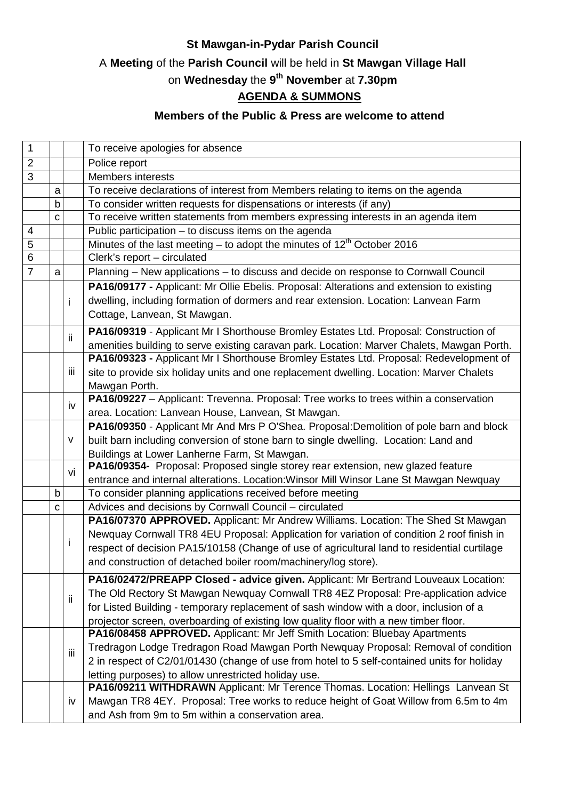## **St Mawgan-in-Pydar Parish Council**

# A **Meeting** of the **Parish Council** will be held in **St Mawgan Village Hall**

#### on **Wednesday** the **9 th November** at **7.30pm**

## **AGENDA & SUMMONS**

## **Members of the Public & Press are welcome to attend**

| $\mathbf{1}$            |   |     | To receive apologies for absence                                                            |
|-------------------------|---|-----|---------------------------------------------------------------------------------------------|
| $\overline{2}$          |   |     | Police report                                                                               |
| 3                       |   |     | <b>Members interests</b>                                                                    |
|                         | a |     | To receive declarations of interest from Members relating to items on the agenda            |
|                         | b |     | To consider written requests for dispensations or interests (if any)                        |
|                         | C |     | To receive written statements from members expressing interests in an agenda item           |
| $\overline{\mathbf{4}}$ |   |     | Public participation - to discuss items on the agenda                                       |
| 5                       |   |     | Minutes of the last meeting – to adopt the minutes of 12 <sup>th</sup> October 2016         |
| 6                       |   |     | Clerk's report - circulated                                                                 |
| $\overline{7}$          | a |     | Planning – New applications – to discuss and decide on response to Cornwall Council         |
|                         |   |     | PA16/09177 - Applicant: Mr Ollie Ebelis. Proposal: Alterations and extension to existing    |
|                         |   | i   | dwelling, including formation of dormers and rear extension. Location: Lanvean Farm         |
|                         |   |     | Cottage, Lanvean, St Mawgan.                                                                |
|                         |   |     | PA16/09319 - Applicant Mr I Shorthouse Bromley Estates Ltd. Proposal: Construction of       |
|                         |   | ii. | amenities building to serve existing caravan park. Location: Marver Chalets, Mawgan Porth.  |
|                         |   |     | PA16/09323 - Applicant Mr I Shorthouse Bromley Estates Ltd. Proposal: Redevelopment of      |
|                         |   | iii | site to provide six holiday units and one replacement dwelling. Location: Marver Chalets    |
|                         |   |     | Mawgan Porth.                                                                               |
|                         |   |     | PA16/09227 - Applicant: Trevenna. Proposal: Tree works to trees within a conservation       |
|                         |   | iv  | area. Location: Lanvean House, Lanvean, St Mawgan.                                          |
|                         |   |     | PA16/09350 - Applicant Mr And Mrs P O'Shea. Proposal: Demolition of pole barn and block     |
|                         |   | v   | built barn including conversion of stone barn to single dwelling. Location: Land and        |
|                         |   |     | Buildings at Lower Lanherne Farm, St Mawgan.                                                |
|                         |   |     | PA16/09354- Proposal: Proposed single storey rear extension, new glazed feature             |
|                         |   | vi  | entrance and internal alterations. Location: Winsor Mill Winsor Lane St Mawgan Newquay      |
|                         | b |     | To consider planning applications received before meeting                                   |
|                         | C |     | Advices and decisions by Cornwall Council - circulated                                      |
|                         |   |     | PA16/07370 APPROVED. Applicant: Mr Andrew Williams. Location: The Shed St Mawgan            |
|                         |   | Ť   | Newquay Cornwall TR8 4EU Proposal: Application for variation of condition 2 roof finish in  |
|                         |   |     | respect of decision PA15/10158 (Change of use of agricultural land to residential curtilage |
|                         |   |     | and construction of detached boiler room/machinery/log store).                              |
|                         |   |     | PA16/02472/PREAPP Closed - advice given. Applicant: Mr Bertrand Louveaux Location:          |
|                         |   |     | The Old Rectory St Mawgan Newquay Cornwall TR8 4EZ Proposal: Pre-application advice         |
|                         |   | ii  | for Listed Building - temporary replacement of sash window with a door, inclusion of a      |
|                         |   |     | projector screen, overboarding of existing low quality floor with a new timber floor.       |
|                         |   |     | PA16/08458 APPROVED. Applicant: Mr Jeff Smith Location: Bluebay Apartments                  |
|                         |   |     | Tredragon Lodge Tredragon Road Mawgan Porth Newquay Proposal: Removal of condition          |
|                         |   | iij | 2 in respect of C2/01/01430 (change of use from hotel to 5 self-contained units for holiday |
|                         |   |     | letting purposes) to allow unrestricted holiday use.                                        |
|                         |   |     | PA16/09211 WITHDRAWN Applicant: Mr Terence Thomas. Location: Hellings Lanvean St            |
|                         |   | iv  | Mawgan TR8 4EY. Proposal: Tree works to reduce height of Goat Willow from 6.5m to 4m        |
|                         |   |     | and Ash from 9m to 5m within a conservation area.                                           |
|                         |   |     |                                                                                             |